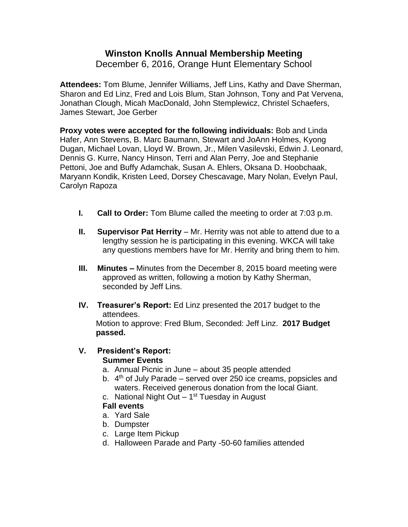# **Winston Knolls Annual Membership Meeting**

December 6, 2016, Orange Hunt Elementary School

**Attendees:** Tom Blume, Jennifer Williams, Jeff Lins, Kathy and Dave Sherman, Sharon and Ed Linz, Fred and Lois Blum, Stan Johnson, Tony and Pat Vervena, Jonathan Clough, Micah MacDonald, John Stemplewicz, Christel Schaefers, James Stewart, Joe Gerber

**Proxy votes were accepted for the following individuals:** Bob and Linda Hafer, Ann Stevens, B. Marc Baumann, Stewart and JoAnn Holmes, Kyong Dugan, Michael Lovan, Lloyd W. Brown, Jr., Milen Vasilevski, Edwin J. Leonard, Dennis G. Kurre, Nancy Hinson, Terri and Alan Perry, Joe and Stephanie Pettoni, Joe and Buffy Adamchak, Susan A. Ehlers, Oksana D. Hoobchaak, Maryann Kondik, Kristen Leed, Dorsey Chescavage, Mary Nolan, Evelyn Paul, Carolyn Rapoza

- **I. Call to Order:** Tom Blume called the meeting to order at 7:03 p.m.
- **II. Supervisor Pat Herrity** Mr. Herrity was not able to attend due to a lengthy session he is participating in this evening. WKCA will take any questions members have for Mr. Herrity and bring them to him.
- **III. Minutes –** Minutes from the December 8, 2015 board meeting were approved as written, following a motion by Kathy Sherman, seconded by Jeff Lins.
- **IV. Treasurer's Report:** Ed Linz presented the 2017 budget to the attendees.

Motion to approve: Fred Blum, Seconded: Jeff Linz. **2017 Budget passed.** 

#### **V. President's Report: Summer Events**

- a. Annual Picnic in June about 35 people attended
- b.  $4<sup>th</sup>$  of July Parade served over 250 ice creams, popsicles and waters. Received generous donation from the local Giant.
- c. National Night Out 1<sup>st</sup> Tuesday in August

## **Fall events**

- a. Yard Sale
- b. Dumpster
- c. Large Item Pickup
- d. Halloween Parade and Party -50-60 families attended